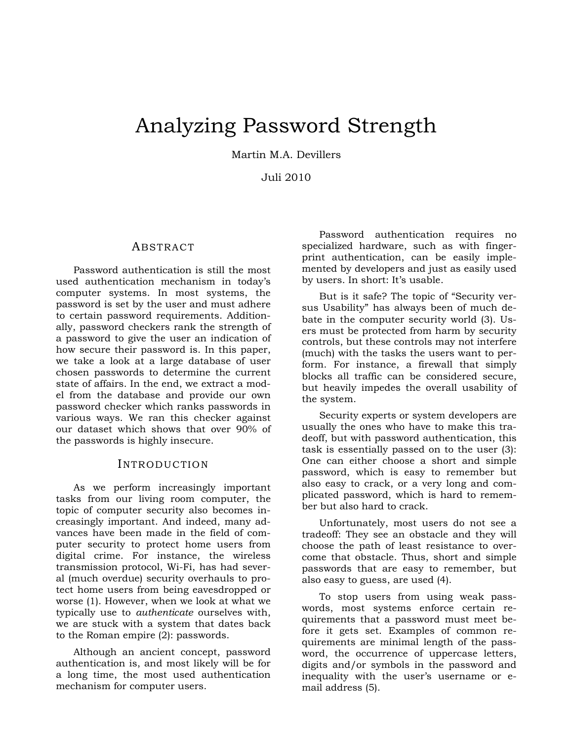# Analyzing Password Strength

Martin M.A. Devillers

Juli 2010

### ABSTRACT

Password authentication is still the most used authentication mechanism in today's computer systems. In most systems, the password is set by the user and must adhere to certain password requirements. Additionally, password checkers rank the strength of a password to give the user an indication of how secure their password is. In this paper, we take a look at a large database of user chosen passwords to determine the current state of affairs. In the end, we extract a model from the database and provide our own password checker which ranks passwords in various ways. We ran this checker against our dataset which shows that over 90% of the passwords is highly insecure.

#### INTRODUCTION

As we perform increasingly important tasks from our living room computer, the topic of computer security also becomes increasingly important. And indeed, many advances have been made in the field of computer security to protect home users from digital crime. For instance, the wireless transmission protocol, Wi-Fi, has had several (much overdue) security overhauls to protect home users from being eavesdropped or worse (1). However, when we look at what we typically use to *authenticate* ourselves with, we are stuck with a system that dates back to the Roman empire (2): passwords.

Although an ancient concept, password authentication is, and most likely will be for a long time, the most used authentication mechanism for computer users.

Password authentication requires no specialized hardware, such as with fingerprint authentication, can be easily implemented by developers and just as easily used by users. In short: It's usable.

But is it safe? The topic of "Security versus Usability" has always been of much debate in the computer security world (3). Users must be protected from harm by security controls, but these controls may not interfere (much) with the tasks the users want to perform. For instance, a firewall that simply blocks all traffic can be considered secure, but heavily impedes the overall usability of the system.

Security experts or system developers are usually the ones who have to make this tradeoff, but with password authentication, this task is essentially passed on to the user (3): One can either choose a short and simple password, which is easy to remember but also easy to crack, or a very long and complicated password, which is hard to remember but also hard to crack.

Unfortunately, most users do not see a tradeoff: They see an obstacle and they will choose the path of least resistance to overcome that obstacle. Thus, short and simple passwords that are easy to remember, but also easy to guess, are used (4).

To stop users from using weak passwords, most systems enforce certain requirements that a password must meet before it gets set. Examples of common requirements are minimal length of the password, the occurrence of uppercase letters, digits and/or symbols in the password and inequality with the user's username or email address (5).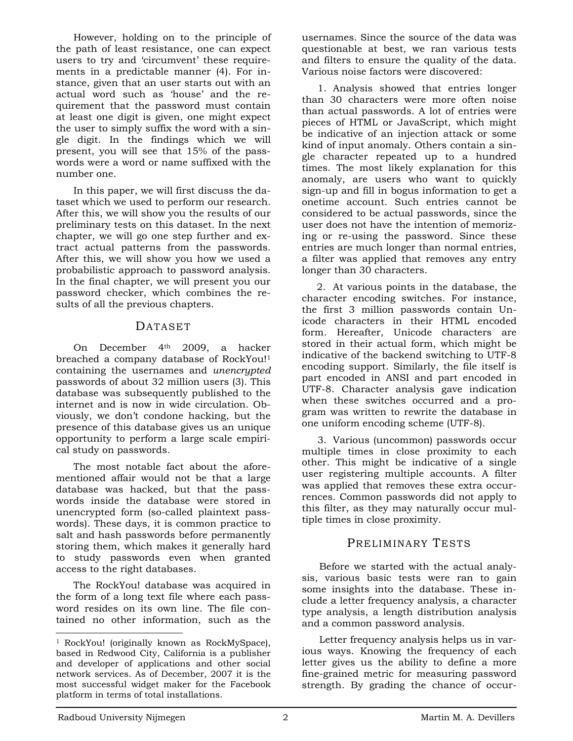However, holding on to the principle of the path of least resistance, one can expect users to try and 'circumvent' these requirements in a predictable manner (4). For instance, given that an user starts out with an actual word such as 'house' and the requirement that the password must contain at least one digit is given, one might expect the user to simply suffix the word with a single digit. In the findings which we will present, you will see that 15% of the passwords were a word or name suffixed with the number one.

In this paper, we will first discuss the dataset which we used to perform our research. After this, we will show you the results of our preliminary tests on this dataset. In the next chapter, we will go one step further and extract actual patterns from the passwords. After this, we will show you how we used a probabilistic approach to password analysis. In the final chapter, we will present you our password checker, which combines the results of all the previous chapters.

## DATASET

On December 4th 2009, a hacker breached a company database of RockYou!1 containing the usernames and *unencrypted*  passwords of about 32 million users (3). This database was subsequently published to the internet and is now in wide circulation. Obviously, we don't condone hacking, but the presence of this database gives us an unique opportunity to perform a large scale empirical study on passwords.

The most notable fact about the aforementioned affair would not be that a large database was hacked, but that the passwords inside the database were stored in unencrypted form (so-called plaintext passwords). These days, it is common practice to salt and hash passwords before permanently storing them, which makes it generally hard to study passwords even when granted access to the right databases.

The RockYou! database was acquired in the form of a long text file where each password resides on its own line. The file contained no other information, such as the usernames. Since the source of the data was questionable at best, we ran various tests and filters to ensure the quality of the data. Various noise factors were discovered:

1. Analysis showed that entries longer than 30 characters were more often noise than actual passwords. A lot of entries were pieces of HTML or JavaScript, which might be indicative of an injection attack or some kind of input anomaly. Others contain a single character repeated up to a hundred times. The most likely explanation for this anomaly, are users who want to quickly sign-up and fill in bogus information to get a onetime account. Such entries cannot be considered to be actual passwords, since the user does not have the intention of memorizing or re-using the password. Since these entries are much longer than normal entries, a filter was applied that removes any entry longer than 30 characters.

2. At various points in the database, the character encoding switches. For instance, the first 3 million passwords contain Unicode characters in their HTML encoded form. Hereafter, Unicode characters are stored in their actual form, which might be indicative of the backend switching to UTF-8 encoding support. Similarly, the file itself is part encoded in ANSI and part encoded in UTF-8. Character analysis gave indication when these switches occurred and a program was written to rewrite the database in one uniform encoding scheme (UTF-8).

3. Various (uncommon) passwords occur multiple times in close proximity to each other. This might be indicative of a single user registering multiple accounts. A filter was applied that removes these extra occurrences. Common passwords did not apply to this filter, as they may naturally occur multiple times in close proximity.

# PRELIMINARY TESTS

Before we started with the actual analysis, various basic tests were ran to gain some insights into the database. These include a letter frequency analysis, a character type analysis, a length distribution analysis and a common password analysis.

Letter frequency analysis helps us in various ways. Knowing the frequency of each letter gives us the ability to define a more fine-grained metric for measuring password strength. By grading the chance of occur-

-

<sup>1</sup> RockYou! (originally known as RockMySpace), based in Redwood City, California is a publisher and developer of applications and other social network services. As of December, 2007 it is the most successful widget maker for the Facebook platform in terms of total installations.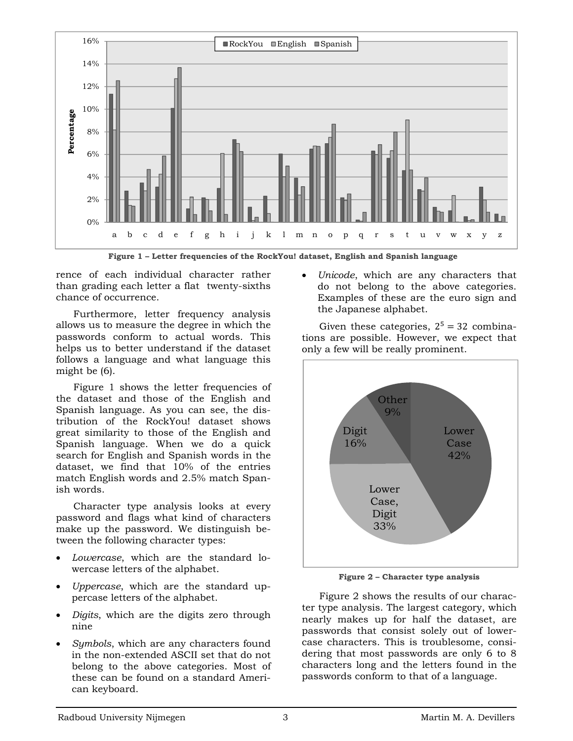

**Figure 1 – Letter frequencies of the RockYou! dataset, English and Spanish language** 

rence of each individual character rather than grading each letter a flat twenty-sixths chance of occurrence.

Furthermore, letter frequency analysis allows us to measure the degree in which the passwords conform to actual words. This helps us to better understand if the dataset follows a language and what language this might be (6).

Figure 1 shows the letter frequencies of the dataset and those of the English and Spanish language. As you can see, the distribution of the RockYou! dataset shows great similarity to those of the English and Spanish language. When we do a quick search for English and Spanish words in the dataset, we find that 10% of the entries match English words and 2.5% match Spanish words.

Character type analysis looks at every password and flags what kind of characters make up the password. We distinguish between the following character types:

- *Lowercase*, which are the standard lowercase letters of the alphabet.
- *Uppercase*, which are the standard uppercase letters of the alphabet.
- *Digits*, which are the digits zero through nine
- *Symbols*, which are any characters found in the non-extended ASCII set that do not belong to the above categories. Most of these can be found on a standard American keyboard.

 *Unicode*, which are any characters that do not belong to the above categories. Examples of these are the euro sign and the Japanese alphabet.

Given these categories,  $2^5 = 32$  combinations are possible. However, we expect that only a few will be really prominent.



**Figure 2 – Character type analysis** 

Figure 2 shows the results of our character type analysis. The largest category, which nearly makes up for half the dataset, are passwords that consist solely out of lowercase characters. This is troublesome, considering that most passwords are only 6 to 8 characters long and the letters found in the passwords conform to that of a language.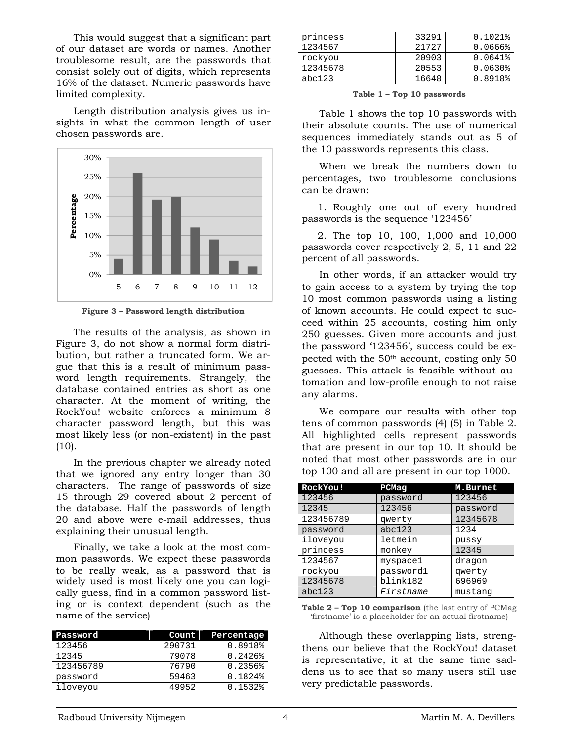This would suggest that a significant part of our dataset are words or names. Another troublesome result, are the passwords that consist solely out of digits, which represents 16% of the dataset. Numeric passwords have limited complexity.

Length distribution analysis gives us insights in what the common length of user chosen passwords are.



**Figure 3 – Password length distribution** 

The results of the analysis, as shown in Figure 3, do not show a normal form distribution, but rather a truncated form. We argue that this is a result of minimum password length requirements. Strangely, the database contained entries as short as one character. At the moment of writing, the RockYou! website enforces a minimum 8 character password length, but this was most likely less (or non-existent) in the past  $(10).$ 

In the previous chapter we already noted that we ignored any entry longer than 30 characters. The range of passwords of size 15 through 29 covered about 2 percent of the database. Half the passwords of length 20 and above were e-mail addresses, thus explaining their unusual length.

Finally, we take a look at the most common passwords. We expect these passwords to be really weak, as a password that is widely used is most likely one you can logically guess, find in a common password listing or is context dependent (such as the name of the service)

| Password  | Count  | Percentage            |
|-----------|--------|-----------------------|
| 123456    | 290731 | 0.8918%               |
| 12345     | 79078  | 0.2426                |
| 123456789 | 76790  | $0.2356$ <sup>8</sup> |
| password  | 59463  | 0.1824%               |
| iloveyou  | 49952  | 0.1532%               |

| princess | 33291 | $0.1021$ $%$          |
|----------|-------|-----------------------|
| 1234567  | 21727 | 0.0666                |
| rockyou  | 20903 | $0.0641$ $%$          |
| 12345678 | 20553 | $0.0630$ <sup>8</sup> |
| abc123   | 16648 | 0.8918%               |

**Table 1 – Top 10 passwords** 

Table 1 shows the top 10 passwords with their absolute counts. The use of numerical sequences immediately stands out as 5 of the 10 passwords represents this class.

When we break the numbers down to percentages, two troublesome conclusions can be drawn:

1. Roughly one out of every hundred passwords is the sequence '123456'

2. The top 10, 100, 1,000 and 10,000 passwords cover respectively 2, 5, 11 and 22 percent of all passwords.

In other words, if an attacker would try to gain access to a system by trying the top 10 most common passwords using a listing of known accounts. He could expect to succeed within 25 accounts, costing him only 250 guesses. Given more accounts and just the password '123456', success could be expected with the 50th account, costing only 50 guesses. This attack is feasible without automation and low-profile enough to not raise any alarms.

We compare our results with other top tens of common passwords (4) (5) in Table 2. All highlighted cells represent passwords that are present in our top 10. It should be noted that most other passwords are in our top 100 and all are present in our top 1000.

| RockYou!  | PCMag     | M.Burnet |
|-----------|-----------|----------|
| 123456    | password  | 123456   |
| 12345     | 123456    | password |
| 123456789 | qwerty    | 12345678 |
| password  | abc123    | 1234     |
| iloveyou  | letmein   | pussy    |
| princess  | monkey    | 12345    |
| 1234567   | myspace1  | dragon   |
| rockyou   | password1 | qwerty   |
| 12345678  | blink182  | 696969   |
| abc123    | Firstname | mustang  |

**Table 2 – Top 10 comparison** (the last entry of PCMag 'firstname' is a placeholder for an actual firstname)

Although these overlapping lists, strengthens our believe that the RockYou! dataset is representative, it at the same time saddens us to see that so many users still use very predictable passwords.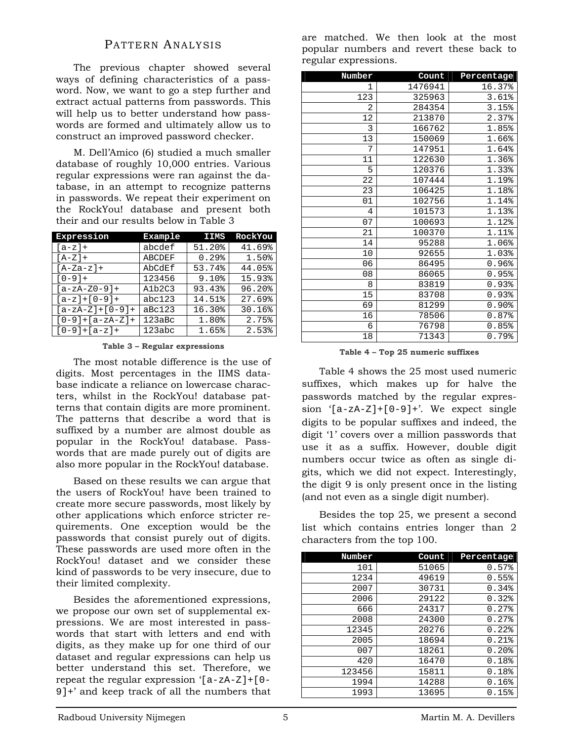## PATTERN ANALYSIS

The previous chapter showed several ways of defining characteristics of a password. Now, we want to go a step further and extract actual patterns from passwords. This will help us to better understand how passwords are formed and ultimately allow us to construct an improved password checker.

M. Dell'Amico (6) studied a much smaller database of roughly 10,000 entries. Various regular expressions were ran against the database, in an attempt to recognize patterns in passwords. We repeat their experiment on the RockYou! database and present both their and our results below in Table 3

| Expression        | Example       | <b>IIMS</b> | RockYou |
|-------------------|---------------|-------------|---------|
| $[a-z]+$          | abcdef        | 51.20%      | 41.69%  |
| $[A-Z]+$          | <b>ABCDEF</b> | 0.29%       | 1.50%   |
| $[A-Za-z]+$       | AbCdEf        | 53.74%      | 44.05%  |
| $[0 - 9] +$       | 123456        | 9.10%       | 15.93%  |
| $[a-zA-Z0-9]+$    | A1b2C3        | 93.43%      | 96.20%  |
| $[a-z]+[0-9]+$    | abc123        | 14.51%      | 27.69%  |
| $[a-zA-Z]+[0-9]+$ | aBc123        | 16.30%      | 30.16%  |
| $[0-9]+[a-zA-Z]+$ | 123abc        | 1.80%       | 2.75%   |
| $[0-9]+[a-z]+$    | 123abc        | 1.65%       | 2.53%   |

**Table 3 – Regular expressions** 

The most notable difference is the use of digits. Most percentages in the IIMS database indicate a reliance on lowercase characters, whilst in the RockYou! database patterns that contain digits are more prominent. The patterns that describe a word that is suffixed by a number are almost double as popular in the RockYou! database. Passwords that are made purely out of digits are also more popular in the RockYou! database.

Based on these results we can argue that the users of RockYou! have been trained to create more secure passwords, most likely by other applications which enforce stricter requirements. One exception would be the passwords that consist purely out of digits. These passwords are used more often in the RockYou! dataset and we consider these kind of passwords to be very insecure, due to their limited complexity.

Besides the aforementioned expressions, we propose our own set of supplemental expressions. We are most interested in passwords that start with letters and end with digits, as they make up for one third of our dataset and regular expressions can help us better understand this set. Therefore, we repeat the regular expression '[a-zA-Z]+[0- 9]+' and keep track of all the numbers that are matched. We then look at the most popular numbers and revert these back to regular expressions.

| Number         | Count   | Percentage          |
|----------------|---------|---------------------|
| 1              | 1476941 | 16.37%              |
| 123            | 325963  | 3.61%               |
| 2              | 284354  | 3.15%               |
| 12             | 213870  | 2.37%               |
| 3              | 166762  | 1.85%               |
| 13             | 150069  | 1.66%               |
| 7              | 147951  | 1.64%               |
| 11             | 122630  | 1.36%               |
| 5              | 120376  | 1.33%               |
| 22             | 107444  | 1.19%               |
| 23             | 106425  | 1.18%               |
| 01             | 102756  | 1.14%               |
| $\overline{4}$ | 101573  | 1.13%               |
| 07             | 100693  | 1.12%               |
| 21             | 100370  | 1.11%               |
| 14             | 95288   | 1.06%               |
| 10             | 92655   | 1.03%               |
| 06             | 86495   | 0.96%               |
| 08             | 86065   | 0.95%               |
| 8              | 83819   | 0.93%               |
| 15             | 83708   | 0.93%               |
| 69             | 81299   | $0.90$ <sup>8</sup> |
| 16             | 78506   | 0.87%               |
| 6              | 76798   | 0.85%               |
| 18             | 71343   | 0.79%               |

**Table 4 – Top 25 numeric suffixes** 

Table 4 shows the 25 most used numeric suffixes, which makes up for halve the passwords matched by the regular expression  $[a-zA-Z]+[0-9]+'$ . We expect single digits to be popular suffixes and indeed, the digit '1' covers over a million passwords that use it as a suffix. However, double digit numbers occur twice as often as single digits, which we did not expect. Interestingly, the digit 9 is only present once in the listing (and not even as a single digit number).

Besides the top 25, we present a second list which contains entries longer than 2 characters from the top 100.

| Number | Count | Percentage |
|--------|-------|------------|
| 101    | 51065 | 0.57%      |
| 1234   | 49619 | 0.55%      |
| 2007   | 30731 | 0.34%      |
| 2006   | 29122 | 0.32%      |
| 666    | 24317 | 0.27%      |
| 2008   | 24300 | 0.27%      |
| 12345  | 20276 | $0.22$ $%$ |
| 2005   | 18694 | 0.21%      |
| 007    | 18261 | $0.20$ %   |
| 420    | 16470 | 0.18%      |
| 123456 | 15811 | 0.18%      |
| 1994   | 14288 | 0.16%      |
| 1993   | 13695 | 0.15%      |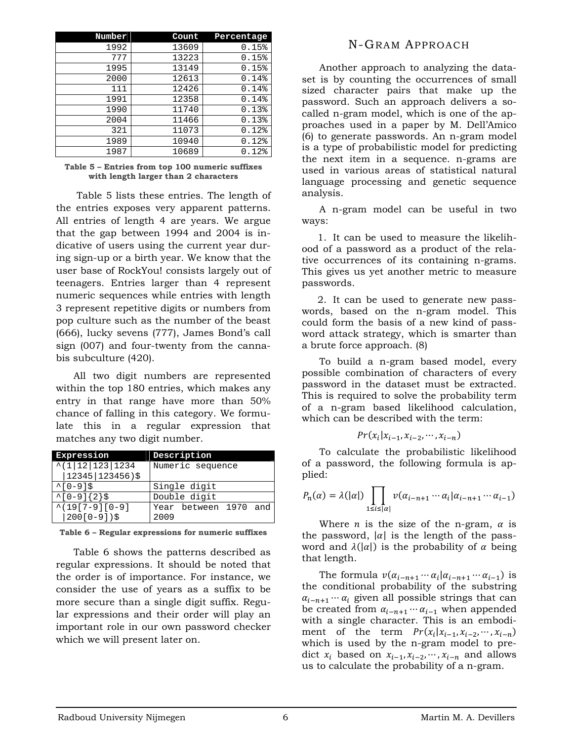| Number | Count | Percentage |
|--------|-------|------------|
| 1992   | 13609 | 0.15%      |
| 777    | 13223 | $0.15$ %   |
| 1995   | 13149 | 0.15%      |
| 2000   | 12613 | 0.14%      |
| 111    | 12426 | 0.14%      |
| 1991   | 12358 | 0.14%      |
| 1990   | 11740 | 0.13%      |
| 2004   | 11466 | 0.13%      |
| 321    | 11073 | 0.12%      |
| 1989   | 10940 | $0.12$ %   |
| 1987   | 10689 | $0.12$ %   |

#### **Table 5 – Entries from top 100 numeric suffixes with length larger than 2 characters**

 Table 5 lists these entries. The length of the entries exposes very apparent patterns. All entries of length 4 are years. We argue that the gap between 1994 and 2004 is indicative of users using the current year during sign-up or a birth year. We know that the user base of RockYou! consists largely out of teenagers. Entries larger than 4 represent numeric sequences while entries with length 3 represent repetitive digits or numbers from pop culture such as the number of the beast (666), lucky sevens (777), James Bond's call sign (007) and four-twenty from the cannabis subculture (420).

All two digit numbers are represented within the top 180 entries, which makes any entry in that range have more than 50% chance of falling in this category. We formulate this in a regular expression that matches any two digit number.

| Expression                 | Description           |  |  |
|----------------------------|-----------------------|--|--|
| $^{\wedge}$ (1 12 123 1234 | Numeric sequence      |  |  |
| $ 12345 123456$ )\$        |                       |  |  |
| $^{\wedge}$ [0-9]\$        | Single digit          |  |  |
| $^{\sim}$ [0-9]{2}\$       | Double digit          |  |  |
| $^{\wedge}$ (19[7-9][0-9]  | Year between 1970 and |  |  |
| $ 200[0-9])\$              | 2009                  |  |  |

**Table 6 – Regular expressions for numeric suffixes** 

Table 6 shows the patterns described as regular expressions. It should be noted that the order is of importance. For instance, we consider the use of years as a suffix to be more secure than a single digit suffix. Regular expressions and their order will play an important role in our own password checker which we will present later on.

# N-GRAM APPROACH

Another approach to analyzing the dataset is by counting the occurrences of small sized character pairs that make up the password. Such an approach delivers a socalled n-gram model, which is one of the approaches used in a paper by M. Dell'Amico (6) to generate passwords. An n-gram model is a type of probabilistic model for predicting the next item in a sequence. n-grams are used in various areas of statistical natural language processing and genetic sequence analysis.

A n-gram model can be useful in two ways:

1. It can be used to measure the likelihood of a password as a product of the relative occurrences of its containing n-grams. This gives us yet another metric to measure passwords.

2. It can be used to generate new passwords, based on the n-gram model. This could form the basis of a new kind of password attack strategy, which is smarter than a brute force approach. (8)

To build a n-gram based model, every possible combination of characters of every password in the dataset must be extracted. This is required to solve the probability term of a n-gram based likelihood calculation, which can be described with the term:

$$
Pr(x_i | x_{i-1}, x_{i-2}, \cdots, x_{i-n})
$$

To calculate the probabilistic likelihood of a password, the following formula is applied:

$$
P_n(\alpha) = \lambda(|\alpha|) \prod_{1 \le i \le |\alpha|} \nu(\alpha_{i-n+1} \cdots \alpha_i | \alpha_{i-n+1} \cdots \alpha_{i-1})
$$

Where *n* is the size of the n-gram,  $\alpha$  is the password,  $|\alpha|$  is the length of the password and  $\lambda(|\alpha|)$  is the probability of  $\alpha$  being that length.

The formula  $v(\alpha_{i-n+1} \cdots \alpha_i | \alpha_{i-n+1} \cdots \alpha_{i-1})$  is the conditional probability of the substring  $\alpha_{i-n+1} \cdots \alpha_i$  given all possible strings that can be created from  $\alpha_{i-n+1} \cdots \alpha_{i-1}$  when appended with a single character. This is an embodiment of the term  $Pr(x_i | x_{i-1}, x_{i-2}, \dots, x_{i-n})$ which is used by the n-gram model to predict  $x_i$  based on  $x_{i-1}, x_{i-2}, \dots, x_{i-n}$  and allows us to calculate the probability of a n-gram.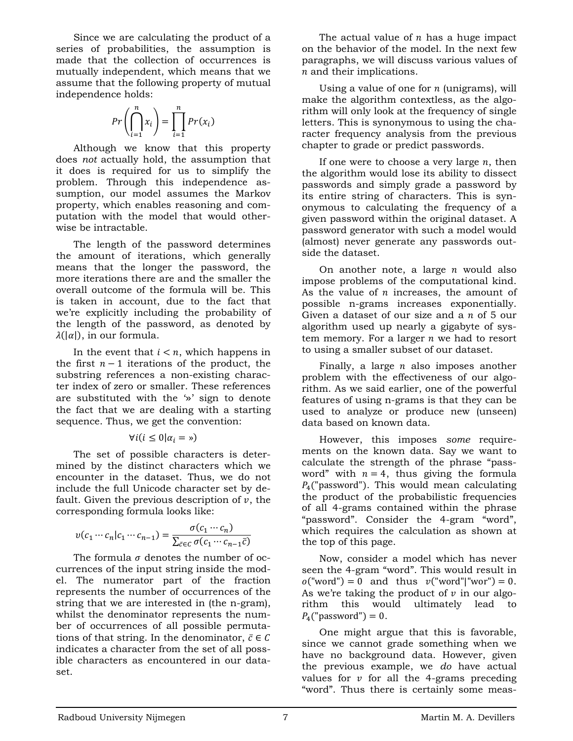Since we are calculating the product of a series of probabilities, the assumption is made that the collection of occurrences is mutually independent, which means that we assume that the following property of mutual independence holds:

$$
Pr\left(\bigcap_{i=1}^{n} x_{i}\right) = \prod_{i=1}^{n} Pr(x_{i})
$$

Although we know that this property does *not* actually hold, the assumption that it does is required for us to simplify the problem. Through this independence assumption, our model assumes the Markov property, which enables reasoning and computation with the model that would otherwise be intractable.

The length of the password determines the amount of iterations, which generally means that the longer the password, the more iterations there are and the smaller the overall outcome of the formula will be. This is taken in account, due to the fact that we're explicitly including the probability of the length of the password, as denoted by  $\lambda(|\alpha|)$ , in our formula.

In the event that  $i < n$ , which happens in the first  $n-1$  iterations of the product, the substring references a non-existing character index of zero or smaller. These references are substituted with the '»' sign to denote the fact that we are dealing with a starting sequence. Thus, we get the convention:

$$
\forall i (i \leq 0 | \alpha_i = \mathbf{0})
$$

The set of possible characters is determined by the distinct characters which we encounter in the dataset. Thus, we do not include the full Unicode character set by default. Given the previous description of  $\nu$ , the corresponding formula looks like:

$$
v(c_1 \cdots c_n | c_1 \cdots c_{n-1}) = \frac{\sigma(c_1 \cdots c_n)}{\sum_{\bar{c} \in C} \sigma(c_1 \cdots c_{n-1} \bar{c})}
$$

The formula  $\sigma$  denotes the number of occurrences of the input string inside the model. The numerator part of the fraction represents the number of occurrences of the string that we are interested in (the n-gram), whilst the denominator represents the number of occurrences of all possible permutations of that string. In the denominator,  $\bar{c} \in C$ indicates a character from the set of all possible characters as encountered in our dataset.

The actual value of  $n$  has a huge impact on the behavior of the model. In the next few paragraphs, we will discuss various values of  $n$  and their implications.

Using a value of one for  $n$  (unigrams), will make the algorithm contextless, as the algorithm will only look at the frequency of single letters. This is synonymous to using the character frequency analysis from the previous chapter to grade or predict passwords.

If one were to choose a very large  $n$ , then the algorithm would lose its ability to dissect passwords and simply grade a password by its entire string of characters. This is synonymous to calculating the frequency of a given password within the original dataset. A password generator with such a model would (almost) never generate any passwords outside the dataset.

On another note, a large  $n$  would also impose problems of the computational kind. As the value of  $n$  increases, the amount of possible n-grams increases exponentially. Given a dataset of our size and a  $n$  of 5 our algorithm used up nearly a gigabyte of system memory. For a larger  $n$  we had to resort to using a smaller subset of our dataset.

Finally, a large  $n$  also imposes another problem with the effectiveness of our algorithm. As we said earlier, one of the powerful features of using n-grams is that they can be used to analyze or produce new (unseen) data based on known data.

However, this imposes *some* requirements on the known data. Say we want to calculate the strength of the phrase "password" with  $n = 4$ , thus giving the formula  $P_4$ ("password"). This would mean calculating the product of the probabilistic frequencies of all 4-grams contained within the phrase "password". Consider the 4-gram "word", which requires the calculation as shown at the top of this page.

Now, consider a model which has never seen the 4-gram "word". This would result in  $o("word") = 0$  and thus  $v("word"|"wor") = 0$ . As we're taking the product of  $\nu$  in our algorithm this would ultimately lead to  $P_4$ ("password") = 0.

One might argue that this is favorable, since we cannot grade something when we have no background data. However, given the previous example, we *do* have actual values for  $v$  for all the 4-grams preceding "word". Thus there is certainly some meas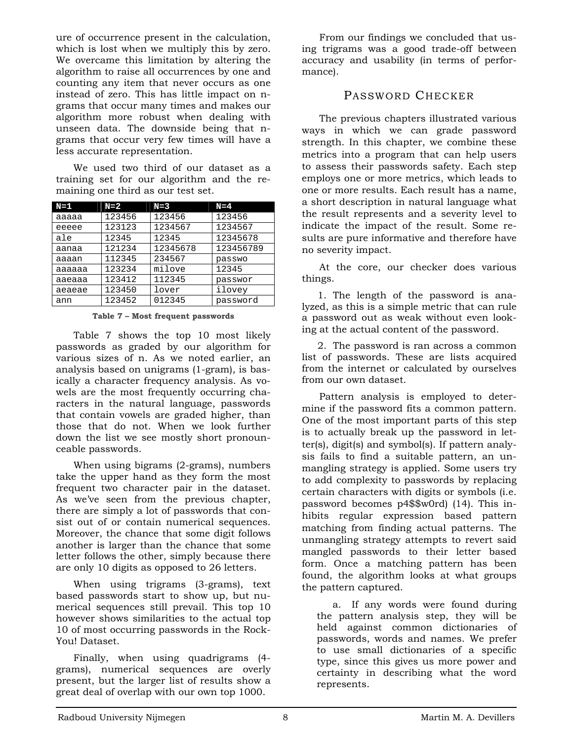ure of occurrence present in the calculation, which is lost when we multiply this by zero. We overcame this limitation by altering the algorithm to raise all occurrences by one and counting any item that never occurs as one instead of zero. This has little impact on ngrams that occur many times and makes our algorithm more robust when dealing with unseen data. The downside being that ngrams that occur very few times will have a less accurate representation.

We used two third of our dataset as a training set for our algorithm and the remaining one third as our test set.

| $N=1$  | $N=2$  | $N=3$    | $N = 4$   |
|--------|--------|----------|-----------|
| aaaaa  | 123456 | 123456   | 123456    |
| eeeee  | 123123 | 1234567  | 1234567   |
| ale    | 12345  | 12345    | 12345678  |
| aanaa  | 121234 | 12345678 | 123456789 |
| aaaan  | 112345 | 234567   | passwo    |
| aaaaaa | 123234 | milove   | 12345     |
| aaeaaa | 123412 | 112345   | passwor   |
| aeaeae | 123450 | lover    | ilovey    |
| ann    | 123452 | 012345   | password  |

**Table 7 – Most frequent passwords** 

Table 7 shows the top 10 most likely passwords as graded by our algorithm for various sizes of n. As we noted earlier, an analysis based on unigrams (1-gram), is basically a character frequency analysis. As vowels are the most frequently occurring characters in the natural language, passwords that contain vowels are graded higher, than those that do not. When we look further down the list we see mostly short pronounceable passwords.

When using bigrams (2-grams), numbers take the upper hand as they form the most frequent two character pair in the dataset. As we've seen from the previous chapter, there are simply a lot of passwords that consist out of or contain numerical sequences. Moreover, the chance that some digit follows another is larger than the chance that some letter follows the other, simply because there are only 10 digits as opposed to 26 letters.

When using trigrams (3-grams), text based passwords start to show up, but numerical sequences still prevail. This top 10 however shows similarities to the actual top 10 of most occurring passwords in the Rock-You! Dataset.

Finally, when using quadrigrams (4 grams), numerical sequences are overly present, but the larger list of results show a great deal of overlap with our own top 1000.

From our findings we concluded that using trigrams was a good trade-off between accuracy and usability (in terms of performance).

# PASSWORD CHECKER

The previous chapters illustrated various ways in which we can grade password strength. In this chapter, we combine these metrics into a program that can help users to assess their passwords safety. Each step employs one or more metrics, which leads to one or more results. Each result has a name, a short description in natural language what the result represents and a severity level to indicate the impact of the result. Some results are pure informative and therefore have no severity impact.

At the core, our checker does various things.

1. The length of the password is analyzed, as this is a simple metric that can rule a password out as weak without even looking at the actual content of the password.

2. The password is ran across a common list of passwords. These are lists acquired from the internet or calculated by ourselves from our own dataset.

Pattern analysis is employed to determine if the password fits a common pattern. One of the most important parts of this step is to actually break up the password in letter(s), digit(s) and symbol(s). If pattern analysis fails to find a suitable pattern, an unmangling strategy is applied. Some users try to add complexity to passwords by replacing certain characters with digits or symbols (i.e. password becomes p4\$\$w0rd) (14). This inhibits regular expression based pattern matching from finding actual patterns. The unmangling strategy attempts to revert said mangled passwords to their letter based form. Once a matching pattern has been found, the algorithm looks at what groups the pattern captured.

a. If any words were found during the pattern analysis step, they will be held against common dictionaries of passwords, words and names. We prefer to use small dictionaries of a specific type, since this gives us more power and certainty in describing what the word represents.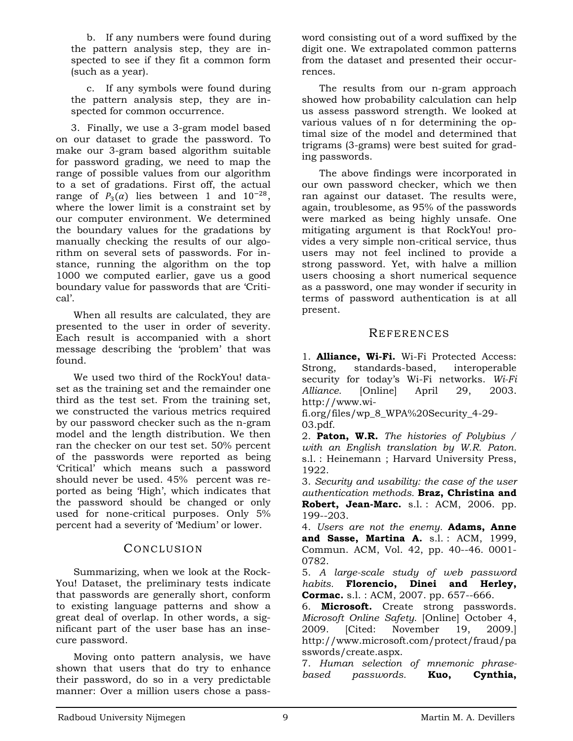b. If any numbers were found during the pattern analysis step, they are inspected to see if they fit a common form (such as a year).

c. If any symbols were found during the pattern analysis step, they are inspected for common occurrence.

3. Finally, we use a 3-gram model based on our dataset to grade the password. To make our 3-gram based algorithm suitable for password grading, we need to map the range of possible values from our algorithm to a set of gradations. First off, the actual range of  $P_3(\alpha)$  lies between 1 and  $10^{-28}$ , where the lower limit is a constraint set by our computer environment. We determined the boundary values for the gradations by manually checking the results of our algorithm on several sets of passwords. For instance, running the algorithm on the top 1000 we computed earlier, gave us a good boundary value for passwords that are 'Critical'.

When all results are calculated, they are presented to the user in order of severity. Each result is accompanied with a short message describing the 'problem' that was found.

We used two third of the RockYou! dataset as the training set and the remainder one third as the test set. From the training set, we constructed the various metrics required by our password checker such as the n-gram model and the length distribution. We then ran the checker on our test set. 50% percent of the passwords were reported as being 'Critical' which means such a password should never be used. 45% percent was reported as being 'High', which indicates that the password should be changed or only used for none-critical purposes. Only 5% percent had a severity of 'Medium' or lower.

## CONCLUSION

Summarizing, when we look at the Rock-You! Dataset, the preliminary tests indicate that passwords are generally short, conform to existing language patterns and show a great deal of overlap. In other words, a significant part of the user base has an insecure password.

Moving onto pattern analysis, we have shown that users that do try to enhance their password, do so in a very predictable manner: Over a million users chose a password consisting out of a word suffixed by the digit one. We extrapolated common patterns from the dataset and presented their occurrences.

The results from our n-gram approach showed how probability calculation can help us assess password strength. We looked at various values of n for determining the optimal size of the model and determined that trigrams (3-grams) were best suited for grading passwords.

The above findings were incorporated in our own password checker, which we then ran against our dataset. The results were, again, troublesome, as 95% of the passwords were marked as being highly unsafe. One mitigating argument is that RockYou! provides a very simple non-critical service, thus users may not feel inclined to provide a strong password. Yet, with halve a million users choosing a short numerical sequence as a password, one may wonder if security in terms of password authentication is at all present.

## **REFERENCES**

1. **Alliance, Wi-Fi.** Wi-Fi Protected Access: Strong, standards-based, interoperable security for today's Wi-Fi networks. *Wi-Fi Alliance.* [Online] April 29, 2003. http://www.wi-

fi.org/files/wp\_8\_WPA%20Security\_4-29- 03.pdf.

2. **Paton, W.R.** *The histories of Polybius / with an English translation by W.R. Paton.*  s.l. : Heinemann ; Harvard University Press, 1922.

3. *Security and usability: the case of the user authentication methods.* **Braz, Christina and**  Robert, Jean-Marc. s.l.: ACM, 2006. pp. 199--203.

4. *Users are not the enemy.* **Adams, Anne and Sasse, Martina A.** s.l. : ACM, 1999, Commun. ACM, Vol. 42, pp. 40--46. 0001- 0782.

5. *A large-scale study of web password habits.* **Florencio, Dinei and Herley, Cormac.** s.l. : ACM, 2007. pp. 657--666.

6. **Microsoft.** Create strong passwords. *Microsoft Online Safety.* [Online] October 4, 2009. [Cited: November 19, 2009.] http://www.microsoft.com/protect/fraud/pa sswords/create.aspx.

7. *Human selection of mnemonic phrasebased passwords.* **Kuo, Cynthia,**